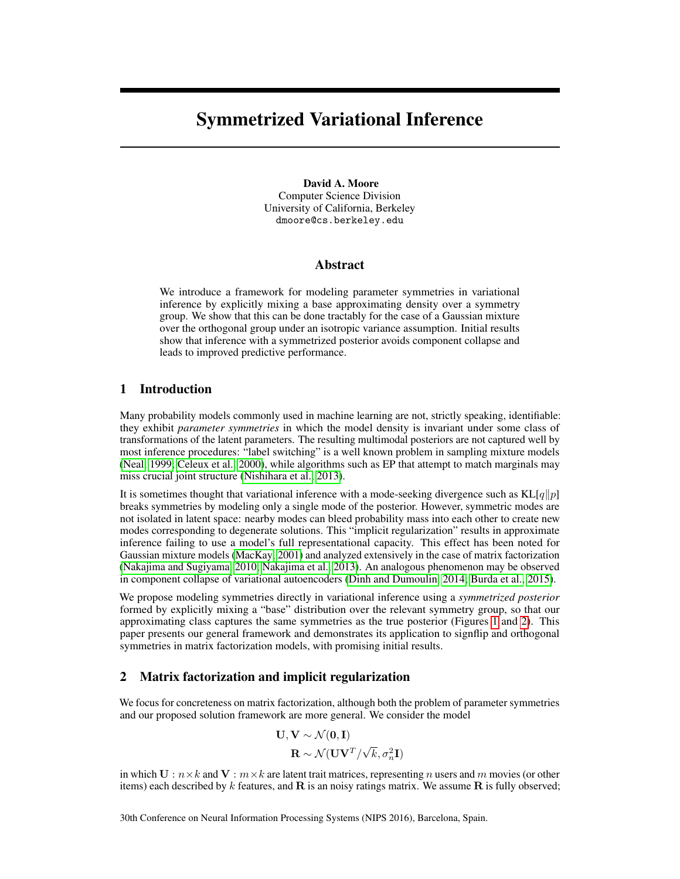# Symmetrized Variational Inference

David A. Moore Computer Science Division University of California, Berkeley dmoore@cs.berkeley.edu

### Abstract

We introduce a framework for modeling parameter symmetries in variational inference by explicitly mixing a base approximating density over a symmetry group. We show that this can be done tractably for the case of a Gaussian mixture over the orthogonal group under an isotropic variance assumption. Initial results show that inference with a symmetrized posterior avoids component collapse and leads to improved predictive performance.

## 1 Introduction

Many probability models commonly used in machine learning are not, strictly speaking, identifiable: they exhibit *parameter symmetries* in which the model density is invariant under some class of transformations of the latent parameters. The resulting multimodal posteriors are not captured well by most inference procedures: "label switching" is a well known problem in sampling mixture models [\(Neal, 1999;](#page-5-0) [Celeux et al., 2000\)](#page-4-0), while algorithms such as EP that attempt to match marginals may miss crucial joint structure [\(Nishihara et al., 2013\)](#page-5-1).

It is sometimes thought that variational inference with a mode-seeking divergence such as  $KL[q||p]$ breaks symmetries by modeling only a single mode of the posterior. However, symmetric modes are not isolated in latent space: nearby modes can bleed probability mass into each other to create new modes corresponding to degenerate solutions. This "implicit regularization" results in approximate inference failing to use a model's full representational capacity. This effect has been noted for Gaussian mixture models [\(MacKay, 2001\)](#page-4-1) and analyzed extensively in the case of matrix factorization [\(Nakajima and Sugiyama, 2010;](#page-4-2) [Nakajima et al., 2013\)](#page-5-2). An analogous phenomenon may be observed in component collapse of variational autoencoders [\(Dinh and Dumoulin, 2014;](#page-4-3) [Burda et al., 2015\)](#page-4-4).

We propose modeling symmetries directly in variational inference using a *symmetrized posterior* formed by explicitly mixing a "base" distribution over the relevant symmetry group, so that our approximating class captures the same symmetries as the true posterior (Figures [1](#page-1-0) and [2\)](#page-1-1). This paper presents our general framework and demonstrates its application to signflip and orthogonal symmetries in matrix factorization models, with promising initial results.

## 2 Matrix factorization and implicit regularization

We focus for concreteness on matrix factorization, although both the problem of parameter symmetries and our proposed solution framework are more general. We consider the model

$$
\mathbf{U}, \mathbf{V} \sim \mathcal{N}(\mathbf{0}, \mathbf{I})
$$

$$
\mathbf{R} \sim \mathcal{N}(\mathbf{U}\mathbf{V}^T / \sqrt{k}, \sigma_n^2 \mathbf{I})
$$

in which  $U : n \times k$  and  $V : m \times k$  are latent trait matrices, representing n users and m movies (or other items) each described by  $k$  features, and  $\bf{R}$  is an noisy ratings matrix. We assume  $\bf{R}$  is fully observed;

30th Conference on Neural Information Processing Systems (NIPS 2016), Barcelona, Spain.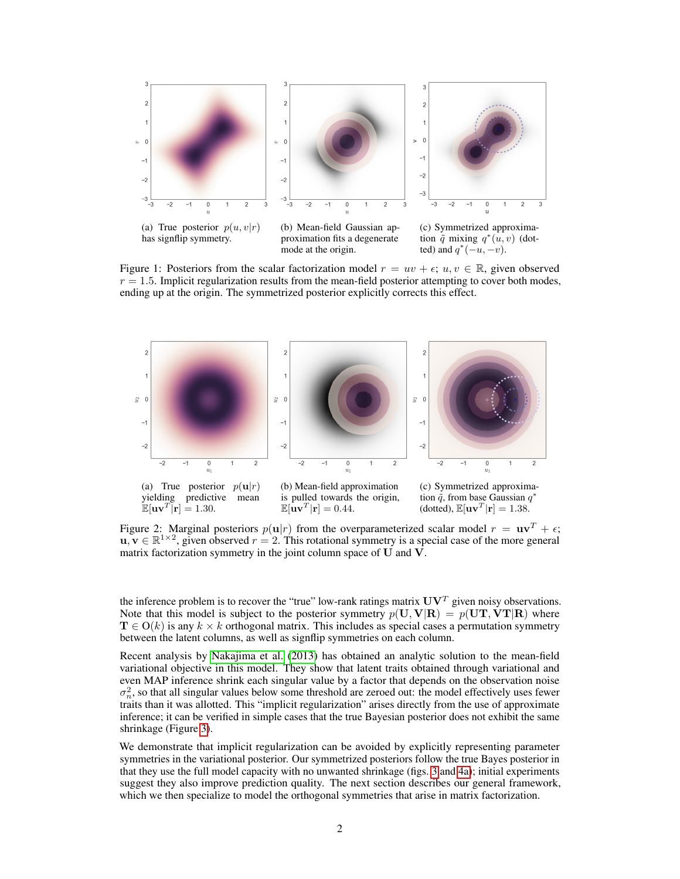<span id="page-1-0"></span>

Figure 1: Posteriors from the scalar factorization model  $r = uv + \epsilon$ ;  $u, v \in \mathbb{R}$ , given observed  $r = 1.5$ . Implicit regularization results from the mean-field posterior attempting to cover both modes, ending up at the origin. The symmetrized posterior explicitly corrects this effect.

<span id="page-1-1"></span>

Figure 2: Marginal posteriors  $p(\mathbf{u}|r)$  from the overparameterized scalar model  $r = \mathbf{u}\mathbf{v}^T + \epsilon$ ;  $\mathbf{u}, \mathbf{v} \in \mathbb{R}^{1 \times 2}$ , given observed  $r = 2$ . This rotational symmetry is a special case of the more general matrix factorization symmetry in the joint column space of U and V.

the inference problem is to recover the "true" low-rank ratings matrix  $UV<sup>T</sup>$  given noisy observations. Note that this model is subject to the posterior symmetry  $p(U, V|R) = p(UT, VT|R)$  where  $\mathbf{T} \in O(k)$  is any  $k \times k$  orthogonal matrix. This includes as special cases a permutation symmetry between the latent columns, as well as signflip symmetries on each column.

Recent analysis by [Nakajima et al.](#page-5-2) [\(2013\)](#page-5-2) has obtained an analytic solution to the mean-field variational objective in this model. They show that latent traits obtained through variational and even MAP inference shrink each singular value by a factor that depends on the observation noise  $\sigma_n^2$ , so that all singular values below some threshold are zeroed out: the model effectively uses fewer traits than it was allotted. This "implicit regularization" arises directly from the use of approximate inference; it can be verified in simple cases that the true Bayesian posterior does not exhibit the same shrinkage (Figure [3\)](#page-2-0).

We demonstrate that implicit regularization can be avoided by explicitly representing parameter symmetries in the variational posterior. Our symmetrized posteriors follow the true Bayes posterior in that they use the full model capacity with no unwanted shrinkage (figs. [3](#page-2-0) and [4a\)](#page-3-0); initial experiments suggest they also improve prediction quality. The next section describes our general framework, which we then specialize to model the orthogonal symmetries that arise in matrix factorization.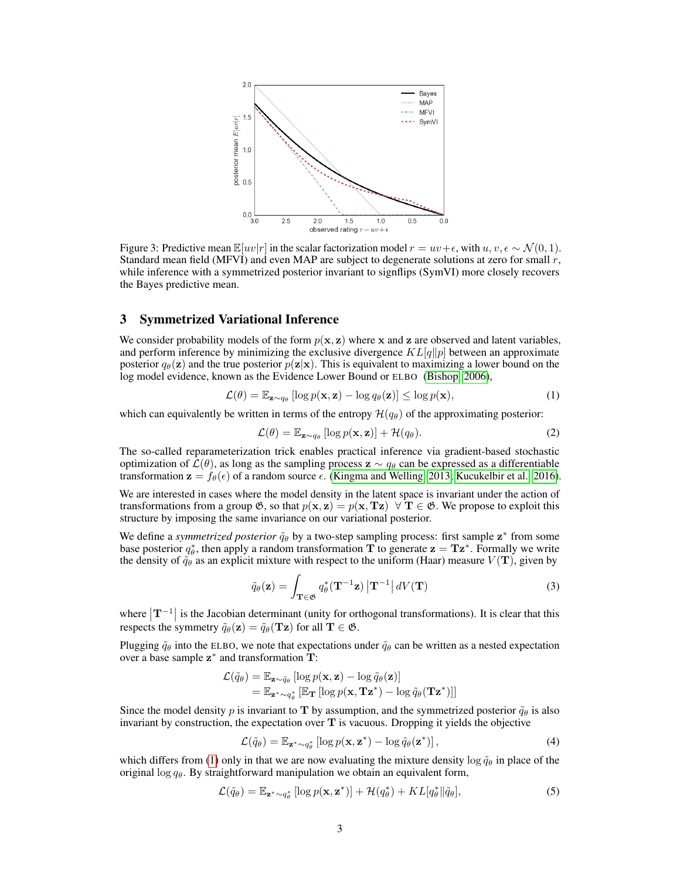<span id="page-2-0"></span>

Figure 3: Predictive mean  $\mathbb{E}[uv|r]$  in the scalar factorization model  $r = uv+\epsilon$ , with  $u, v, \epsilon \sim \mathcal{N}(0, 1)$ . Standard mean field (MFVI) and even MAP are subject to degenerate solutions at zero for small  $r$ , while inference with a symmetrized posterior invariant to signflips (SymVI) more closely recovers the Bayes predictive mean.

## 3 Symmetrized Variational Inference

We consider probability models of the form  $p(x, z)$  where x and z are observed and latent variables, and perform inference by minimizing the exclusive divergence  $KL[q||p]$  between an approximate posterior  $q_{\theta}(\mathbf{z})$  and the true posterior  $p(\mathbf{z}|\mathbf{x})$ . This is equivalent to maximizing a lower bound on the log model evidence, known as the Evidence Lower Bound or ELBO [\(Bishop, 2006\)](#page-4-5),

$$
\mathcal{L}(\theta) = \mathbb{E}_{\mathbf{z} \sim q_{\theta}} \left[ \log p(\mathbf{x}, \mathbf{z}) - \log q_{\theta}(\mathbf{z}) \right] \le \log p(\mathbf{x}),\tag{1}
$$

which can equivalently be written in terms of the entropy  $\mathcal{H}(q_{\theta})$  of the approximating posterior:

<span id="page-2-2"></span><span id="page-2-1"></span>
$$
\mathcal{L}(\theta) = \mathbb{E}_{\mathbf{z} \sim q_{\theta}} \left[ \log p(\mathbf{x}, \mathbf{z}) \right] + \mathcal{H}(q_{\theta}). \tag{2}
$$

The so-called reparameterization trick enables practical inference via gradient-based stochastic optimization of  $\mathcal{L}(\theta)$ , as long as the sampling process  $z \sim q_\theta$  can be expressed as a differentiable transformation  $\mathbf{z} = f_{\theta}(\epsilon)$  of a random source  $\epsilon$ . [\(Kingma and Welling, 2013;](#page-4-6) [Kucukelbir et al., 2016\)](#page-4-7).

We are interested in cases where the model density in the latent space is invariant under the action of transformations from a group  $\mathfrak{G}$ , so that  $p(x, z) = p(x, Tz) \ \forall T \in \mathfrak{G}$ . We propose to exploit this structure by imposing the same invariance on our variational posterior.

We define a *symmetrized posterior*  $\tilde{q}_{\theta}$  by a two-step sampling process: first sample  $z^*$  from some base posterior  $q_{\theta}^*$ , then apply a random transformation **T** to generate  $z = Tz^*$ . Formally we write the density of  $\tilde{q}_{\theta}$  as an explicit mixture with respect to the uniform (Haar) measure  $V(\mathbf{T})$ , given by

$$
\tilde{q}_{\theta}(\mathbf{z}) = \int_{\mathbf{T} \in \mathfrak{G}} q_{\theta}^*(\mathbf{T}^{-1} \mathbf{z}) |\mathbf{T}^{-1}| dV(\mathbf{T}) \tag{3}
$$

where  $|\mathbf{T}^{-1}|$  is the Jacobian determinant (unity for orthogonal transformations). It is clear that this respects the symmetry  $\tilde{q}_{\theta}(\mathbf{z}) = \tilde{q}_{\theta}(\mathbf{Tz})$  for all  $\mathbf{T} \in \mathfrak{G}$ .

Plugging  $\tilde{q}_{\theta}$  into the ELBO, we note that expectations under  $\tilde{q}_{\theta}$  can be written as a nested expectation over a base sample  $z^*$  and transformation  $\overline{T}$ :

$$
\mathcal{L}(\tilde{q}_{\theta}) = \mathbb{E}_{\mathbf{z} \sim \tilde{q}_{\theta}} [\log p(\mathbf{x}, \mathbf{z}) - \log \tilde{q}_{\theta}(\mathbf{z})] \n= \mathbb{E}_{\mathbf{z}^* \sim q_{\theta}^*} [\mathbb{E}_{\mathbf{T}} [\log p(\mathbf{x}, \mathbf{T} \mathbf{z}^*) - \log \tilde{q}_{\theta}(\mathbf{T} \mathbf{z}^*)]]
$$

Since the model density p is invariant to T by assumption, and the symmetrized posterior  $\tilde{q}_{\theta}$  is also invariant by construction, the expectation over  $T$  is vacuous. Dropping it yields the objective

<span id="page-2-3"></span>
$$
\mathcal{L}(\tilde{q}_{\theta}) = \mathbb{E}_{\mathbf{z}^* \sim q_{\theta}^*} \left[ \log p(\mathbf{x}, \mathbf{z}^*) - \log \tilde{q}_{\theta}(\mathbf{z}^*) \right],\tag{4}
$$

which differs from [\(1\)](#page-2-1) only in that we are now evaluating the mixture density  $\log \tilde{q}_{\theta}$  in place of the original  $\log q_\theta$ . By straightforward manipulation we obtain an equivalent form,

$$
\mathcal{L}(\tilde{q}_{\theta}) = \mathbb{E}_{\mathbf{z}^* \sim q_{\theta}^*} [\log p(\mathbf{x}, \mathbf{z}^*)] + \mathcal{H}(q_{\theta}^*) + KL[q_{\theta}^* || \tilde{q}_{\theta}], \qquad (5)
$$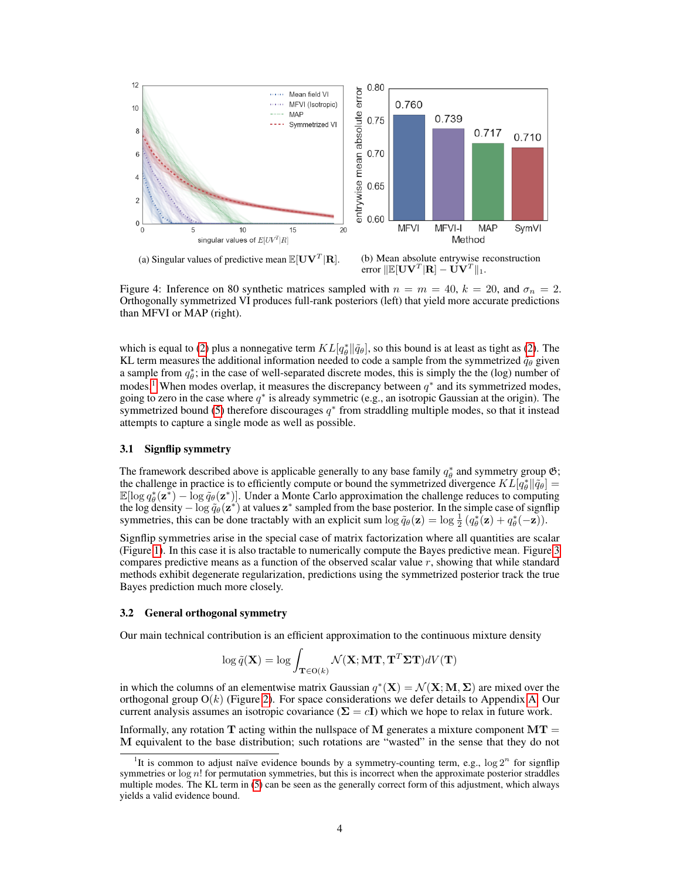<span id="page-3-0"></span>

Figure 4: Inference on 80 synthetic matrices sampled with  $n = m = 40$ ,  $k = 20$ , and  $\sigma_n = 2$ . Orthogonally symmetrized VI produces full-rank posteriors (left) that yield more accurate predictions than MFVI or MAP (right).

which is equal to [\(2\)](#page-2-2) plus a nonnegative term  $KL[q^*_{\theta} || \tilde{q}_{\theta}]$ , so this bound is at least as tight as (2). The KL term measures the additional information needed to code a sample from the symmetrized  $\tilde{q}_{\theta}$  given a sample from  $q_{\theta}^*$ ; in the case of well-separated discrete modes, this is simply the the (log) number of modes.<sup>[1](#page-3-1)</sup> When modes overlap, it measures the discrepancy between  $q^*$  and its symmetrized modes, going to zero in the case where  $q^*$  is already symmetric (e.g., an isotropic Gaussian at the origin). The symmetrized bound [\(5\)](#page-2-3) therefore discourages  $q^*$  from straddling multiple modes, so that it instead attempts to capture a single mode as well as possible.

## 3.1 Signflip symmetry

The framework described above is applicable generally to any base family  $q_{\theta}^*$  and symmetry group  $\mathfrak{G}$ ; the challenge in practice is to efficiently compute or bound the symmetrized divergence  $KL[q^*_{\theta} || \tilde{q}_{\theta}] =$  $\mathbb{E}[\log q_\theta^*(\mathbf{z}^*) - \log \tilde{q}_\theta(\mathbf{z}^*)]$ . Under a Monte Carlo approximation the challenge reduces to computing the log density  $-\log \tilde{q}_{\theta}(\mathbf{z}^*)$  at values  $\mathbf{z}^*$  sampled from the base posterior. In the simple case of signflip symmetries, this can be done tractably with an explicit sum  $\log \tilde{q}_{\theta}(\mathbf{z}) = \log \frac{1}{2} (q_{\theta}^{*}(\mathbf{z}) + q_{\theta}^{*}(-\mathbf{z}))$ .

Signflip symmetries arise in the special case of matrix factorization where all quantities are scalar (Figure [1\)](#page-1-0). In this case it is also tractable to numerically compute the Bayes predictive mean. Figure [3](#page-2-0) compares predictive means as a function of the observed scalar value  $r$ , showing that while standard methods exhibit degenerate regularization, predictions using the symmetrized posterior track the true Bayes prediction much more closely.

#### 3.2 General orthogonal symmetry

Our main technical contribution is an efficient approximation to the continuous mixture density

$$
\log \tilde{q}(\mathbf{X}) = \log \int_{\mathbf{T} \in \mathcal{O}(k)} \mathcal{N}(\mathbf{X}; \mathbf{M} \mathbf{T}, \mathbf{T}^T \mathbf{\Sigma} \mathbf{T}) dV(\mathbf{T})
$$

in which the columns of an elementwise matrix Gaussian  $q^*(\mathbf{X}) = \mathcal{N}(\mathbf{X}; \mathbf{M}, \mathbf{\Sigma})$  are mixed over the orthogonal group  $O(k)$  (Figure [2\)](#page-1-1). For space considerations we defer details to Appendix [A.](#page-5-3) Our current analysis assumes an isotropic covariance ( $\Sigma = cI$ ) which we hope to relax in future work.

Informally, any rotation T acting within the nullspace of M generates a mixture component  $MT =$ M equivalent to the base distribution; such rotations are "wasted" in the sense that they do not

<span id="page-3-1"></span><sup>&</sup>lt;sup>1</sup>It is common to adjust naïve evidence bounds by a symmetry-counting term, e.g.,  $\log 2^n$  for signflip symmetries or  $log n!$  for permutation symmetries, but this is incorrect when the approximate posterior straddles multiple modes. The KL term in [\(5\)](#page-2-3) can be seen as the generally correct form of this adjustment, which always yields a valid evidence bound.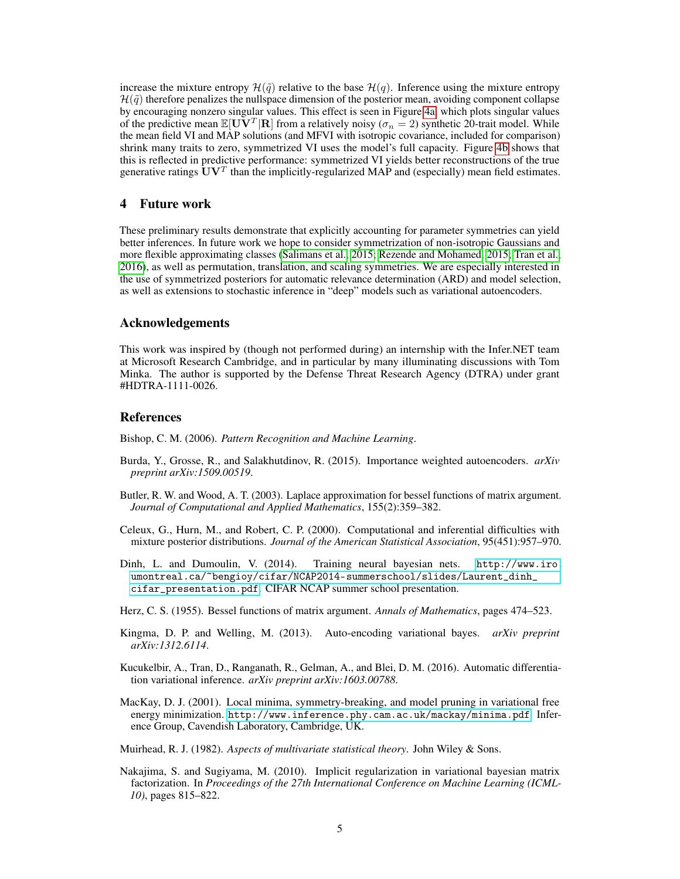increase the mixture entropy  $\mathcal{H}(\tilde{q})$  relative to the base  $\mathcal{H}(q)$ . Inference using the mixture entropy  $\mathcal{H}(\tilde{q})$  therefore penalizes the nullspace dimension of the posterior mean, avoiding component collapse by encouraging nonzero singular values. This effect is seen in Figure [4a,](#page-3-0) which plots singular values of the predictive mean  $\mathbb{E}[\overline{\mathbf{U}}\overline{\mathbf{V}}^T|\mathbf{R}]$  from a relatively noisy ( $\sigma_n = 2$ ) synthetic 20-trait model. While the mean field VI and MAP solutions (and MFVI with isotropic covariance, included for comparison) shrink many traits to zero, symmetrized VI uses the model's full capacity. Figure [4b](#page-3-0) shows that this is reflected in predictive performance: symmetrized VI yields better reconstructions of the true generative ratings  $\textbf{U} \textbf{V}^T$  than the implicitly-regularized MAP and (especially) mean field estimates.

## 4 Future work

These preliminary results demonstrate that explicitly accounting for parameter symmetries can yield better inferences. In future work we hope to consider symmetrization of non-isotropic Gaussians and more flexible approximating classes [\(Salimans et al., 2015;](#page-5-4) [Rezende and Mohamed, 2015;](#page-5-5) [Tran et al.,](#page-5-6) [2016\)](#page-5-6), as well as permutation, translation, and scaling symmetries. We are especially interested in the use of symmetrized posteriors for automatic relevance determination (ARD) and model selection, as well as extensions to stochastic inference in "deep" models such as variational autoencoders.

## Acknowledgements

This work was inspired by (though not performed during) an internship with the Infer.NET team at Microsoft Research Cambridge, and in particular by many illuminating discussions with Tom Minka. The author is supported by the Defense Threat Research Agency (DTRA) under grant #HDTRA-1111-0026.

## References

<span id="page-4-5"></span>Bishop, C. M. (2006). *Pattern Recognition and Machine Learning*.

- <span id="page-4-4"></span>Burda, Y., Grosse, R., and Salakhutdinov, R. (2015). Importance weighted autoencoders. *arXiv preprint arXiv:1509.00519*.
- <span id="page-4-10"></span>Butler, R. W. and Wood, A. T. (2003). Laplace approximation for bessel functions of matrix argument. *Journal of Computational and Applied Mathematics*, 155(2):359–382.
- <span id="page-4-0"></span>Celeux, G., Hurn, M., and Robert, C. P. (2000). Computational and inferential difficulties with mixture posterior distributions. *Journal of the American Statistical Association*, 95(451):957–970.
- <span id="page-4-3"></span>Dinh, L. and Dumoulin, V. (2014). Training neural bayesian nets. [http://www.iro.](http://www.iro.umontreal.ca/~bengioy/cifar/NCAP2014-summerschool/slides/Laurent_dinh_cifar_presentation.pdf) [umontreal.ca/~bengioy/cifar/NCAP2014-summerschool/slides/Laurent\\_dinh\\_](http://www.iro.umontreal.ca/~bengioy/cifar/NCAP2014-summerschool/slides/Laurent_dinh_cifar_presentation.pdf) [cifar\\_presentation.pdf](http://www.iro.umontreal.ca/~bengioy/cifar/NCAP2014-summerschool/slides/Laurent_dinh_cifar_presentation.pdf). CIFAR NCAP summer school presentation.
- <span id="page-4-8"></span>Herz, C. S. (1955). Bessel functions of matrix argument. *Annals of Mathematics*, pages 474–523.
- <span id="page-4-6"></span>Kingma, D. P. and Welling, M. (2013). Auto-encoding variational bayes. *arXiv preprint arXiv:1312.6114*.
- <span id="page-4-7"></span>Kucukelbir, A., Tran, D., Ranganath, R., Gelman, A., and Blei, D. M. (2016). Automatic differentiation variational inference. *arXiv preprint arXiv:1603.00788*.
- <span id="page-4-1"></span>MacKay, D. J. (2001). Local minima, symmetry-breaking, and model pruning in variational free energy minimization. <http://www.inference.phy.cam.ac.uk/mackay/minima.pdf>. Inference Group, Cavendish Laboratory, Cambridge, UK.
- <span id="page-4-9"></span>Muirhead, R. J. (1982). *Aspects of multivariate statistical theory*. John Wiley & Sons.
- <span id="page-4-2"></span>Nakajima, S. and Sugiyama, M. (2010). Implicit regularization in variational bayesian matrix factorization. In *Proceedings of the 27th International Conference on Machine Learning (ICML-10)*, pages 815–822.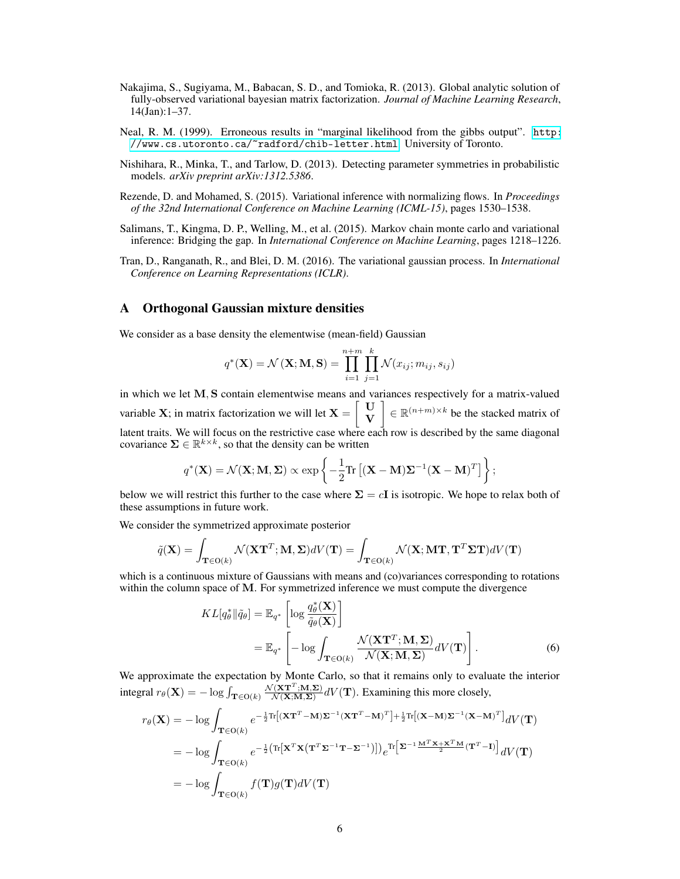- <span id="page-5-2"></span>Nakajima, S., Sugiyama, M., Babacan, S. D., and Tomioka, R. (2013). Global analytic solution of fully-observed variational bayesian matrix factorization. *Journal of Machine Learning Research*, 14(Jan):1–37.
- <span id="page-5-0"></span>Neal, R. M. (1999). Erroneous results in "marginal likelihood from the gibbs output". [http:](http://www.cs.utoronto.ca/~radford/chib-letter.html) [//www.cs.utoronto.ca/~radford/chib-letter.html](http://www.cs.utoronto.ca/~radford/chib-letter.html). University of Toronto.
- <span id="page-5-1"></span>Nishihara, R., Minka, T., and Tarlow, D. (2013). Detecting parameter symmetries in probabilistic models. *arXiv preprint arXiv:1312.5386*.
- <span id="page-5-5"></span>Rezende, D. and Mohamed, S. (2015). Variational inference with normalizing flows. In *Proceedings of the 32nd International Conference on Machine Learning (ICML-15)*, pages 1530–1538.
- <span id="page-5-4"></span>Salimans, T., Kingma, D. P., Welling, M., et al. (2015). Markov chain monte carlo and variational inference: Bridging the gap. In *International Conference on Machine Learning*, pages 1218–1226.
- <span id="page-5-6"></span>Tran, D., Ranganath, R., and Blei, D. M. (2016). The variational gaussian process. In *International Conference on Learning Representations (ICLR)*.

## <span id="page-5-3"></span>A Orthogonal Gaussian mixture densities

We consider as a base density the elementwise (mean-field) Gaussian

$$
q^{\ast}(\mathbf{X}) = \mathcal{N}(\mathbf{X}; \mathbf{M}, \mathbf{S}) = \prod_{i=1}^{n+m} \prod_{j=1}^{k} \mathcal{N}(x_{ij}; m_{ij}, s_{ij})
$$

in which we let  $M$ ,  $S$  contain elementwise means and variances respectively for a matrix-valued variable **X**; in matrix factorization we will let  $X = \begin{bmatrix} U \\ V \end{bmatrix}$ V  $\Big] \in \mathbb{R}^{(n+m)\times k}$  be the stacked matrix of latent traits. We will focus on the restrictive case where each row is described by the same diagonal covariance  $\Sigma \in \mathbb{R}^{k \times k}$ , so that the density can be written

$$
q^{\ast}(\mathbf{X}) = \mathcal{N}(\mathbf{X}; \mathbf{M}, \mathbf{\Sigma}) \propto \exp\left\{-\frac{1}{2}\text{Tr}\left[(\mathbf{X} - \mathbf{M})\mathbf{\Sigma}^{-1}(\mathbf{X} - \mathbf{M})^T\right]\right\};
$$

below we will restrict this further to the case where  $\Sigma = cI$  is isotropic. We hope to relax both of these assumptions in future work.

We consider the symmetrized approximate posterior

$$
\tilde{q}(\mathbf{X}) = \int_{\mathbf{T} \in \mathcal{O}(k)} \mathcal{N}(\mathbf{X} \mathbf{T}^T; \mathbf{M}, \mathbf{\Sigma}) dV(\mathbf{T}) = \int_{\mathbf{T} \in \mathcal{O}(k)} \mathcal{N}(\mathbf{X}; \mathbf{M} \mathbf{T}, \mathbf{T}^T \mathbf{\Sigma} \mathbf{T}) dV(\mathbf{T})
$$

which is a continuous mixture of Gaussians with means and (co)variances corresponding to rotations within the column space of M. For symmetrized inference we must compute the divergence

<span id="page-5-7"></span>
$$
KL[q_{\theta}^{*}||\tilde{q}_{\theta}] = \mathbb{E}_{q^{*}} \left[ \log \frac{q_{\theta}^{*}(\mathbf{X})}{\tilde{q}_{\theta}(\mathbf{X})} \right]
$$
  

$$
= \mathbb{E}_{q^{*}} \left[ -\log \int_{\mathbf{T} \in \mathcal{O}(k)} \frac{\mathcal{N}(\mathbf{X} \mathbf{T}^{T}; \mathbf{M}, \mathbf{\Sigma})}{\mathcal{N}(\mathbf{X}; \mathbf{M}, \mathbf{\Sigma})} dV(\mathbf{T}) \right].
$$
 (6)

We approximate the expectation by Monte Carlo, so that it remains only to evaluate the interior integral  $r_{\theta}(\mathbf{X}) = -\log \int_{\mathbf{T} \in \mathcal{O}(k)}$  $\mathcal{N}(\mathbf{X}\mathbf{T}^T;\mathbf{M},\mathbf{\Sigma})$  $\frac{(X_1 - j)M(X;M,Z)}{\mathcal{N}(X;M,Z)}$  dV(T). Examining this more closely,

$$
r_{\theta}(\mathbf{X}) = -\log \int_{\mathbf{T} \in O(k)} e^{-\frac{1}{2}\text{Tr}\left[(\mathbf{X}\mathbf{T}^T - \mathbf{M})\mathbf{\Sigma}^{-1}(\mathbf{X}\mathbf{T}^T - \mathbf{M})^T\right] + \frac{1}{2}\text{Tr}\left[(\mathbf{X} - \mathbf{M})\mathbf{\Sigma}^{-1}(\mathbf{X} - \mathbf{M})^T\right]} dV(\mathbf{T})
$$
  
\n
$$
= -\log \int_{\mathbf{T} \in O(k)} e^{-\frac{1}{2}\left(\text{Tr}\left[\mathbf{X}^T \mathbf{X}(\mathbf{T}^T \mathbf{\Sigma}^{-1} \mathbf{T} - \mathbf{\Sigma}^{-1})\right]\right)} e^{\text{Tr}\left[\mathbf{\Sigma}^{-1} \frac{\mathbf{M}^T \mathbf{X} + \mathbf{X}^T \mathbf{M}}{2}(\mathbf{T}^T - \mathbf{I})\right]} dV(\mathbf{T})
$$
  
\n
$$
= -\log \int_{\mathbf{T} \in O(k)} f(\mathbf{T}) g(\mathbf{T}) dV(\mathbf{T})
$$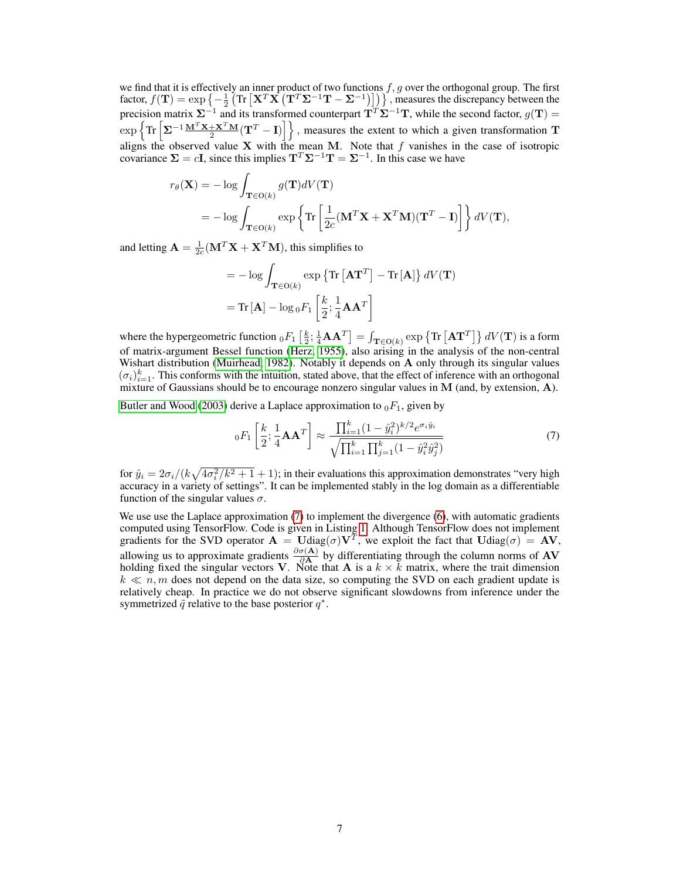we find that it is effectively an inner product of two functions  $f, g$  over the orthogonal group. The first factor,  $f(\mathbf{T}) = \exp \left\{-\frac{1}{2} \left( \text{Tr} \left[ \mathbf{X}^T \mathbf{X} \left( \mathbf{T}^T \mathbf{\Sigma}^{-1} \mathbf{T} - \mathbf{\Sigma}^{-1} \right) \right] \right) \right\}$ , measures the discrepancy between the precision matrix  $\Sigma^{-1}$  and its transformed counterpart  $T^T \Sigma^{-1}T$ , while the second factor,  $g(T)$  =  $\exp\left\{\text{Tr}\left[\Sigma^{-1}\frac{\mathbf{M}^T\mathbf{X}+\mathbf{X}^T\mathbf{M}}{2}(\mathbf{T}^T-\mathbf{I})\right]\right\}$ , measures the extent to which a given transformation T aligns the observed value  $X$  with the mean M. Note that f vanishes in the case of isotropic covariance  $\Sigma = cI$ , since this implies  $T^{T} \Sigma^{-1} T = \Sigma^{-1}$ . In this case we have

$$
r_{\theta}(\mathbf{X}) = -\log \int_{\mathbf{T} \in \mathcal{O}(k)} g(\mathbf{T}) dV(\mathbf{T})
$$
  
= 
$$
-\log \int_{\mathbf{T} \in \mathcal{O}(k)} \exp \left\{ \text{Tr} \left[ \frac{1}{2c} (\mathbf{M}^T \mathbf{X} + \mathbf{X}^T \mathbf{M}) (\mathbf{T}^T - \mathbf{I}) \right] \right\} dV(\mathbf{T}),
$$

and letting  $\mathbf{A} = \frac{1}{2c}(\mathbf{M}^T \mathbf{X} + \mathbf{X}^T \mathbf{M})$ , this simplifies to

$$
= -\log \int_{\mathbf{T} \in \mathcal{O}(k)} \exp \left\{ \text{Tr} \left[ \mathbf{A} \mathbf{T}^T \right] - \text{Tr} \left[ \mathbf{A} \right] \right\} dV(\mathbf{T})
$$

$$
= \text{Tr} \left[ \mathbf{A} \right] - \log_0 F_1 \left[ \frac{k}{2} ; \frac{1}{4} \mathbf{A} \mathbf{A}^T \right]
$$

where the hypergeometric function  ${}_0F_1\left[\frac{k}{2};\frac{1}{4}\mathbf{A}\mathbf{A}^T\right]=\int_{\mathbf{T}\in\mathsf{O}(k)}\exp\left\{\text{Tr}\left[\mathbf{A}\mathbf{T}^T\right]\right\}dV(\mathbf{T})$  is a form of matrix-argument Bessel function [\(Herz, 1955\)](#page-4-8), also arising in the analysis of the non-central Wishart distribution [\(Muirhead, 1982\)](#page-4-9). Notably it depends on A only through its singular values  $(\sigma_i)_{i=1}^k$ . This conforms with the intuition, stated above, that the effect of inference with an orthogonal mixture of Gaussians should be to encourage nonzero singular values in M (and, by extension, A).

[Butler and Wood](#page-4-10) [\(2003\)](#page-4-10) derive a Laplace approximation to  $_0F_1$ , given by

<span id="page-6-0"></span>
$$
{}_{0}F_{1}\left[\frac{k}{2};\frac{1}{4}\mathbf{A}\mathbf{A}^{T}\right] \approx \frac{\prod_{i=1}^{k}(1-\hat{y}_{i}^{2})^{k/2}e^{\sigma_{i}\hat{y}_{i}}}{\sqrt{\prod_{i=1}^{k}\prod_{j=1}^{k}(1-\hat{y}_{i}^{2}\hat{y}_{j}^{2})}}
$$
(7)

for  $\hat{y}_i = 2\sigma_i/(k\sqrt{4\sigma_i^2/k^2+1}+1)$ ; in their evaluations this approximation demonstrates "very high accuracy in a variety of settings". It can be implemented stably in the log domain as a differentiable function of the singular values  $\sigma$ .

We use use the Laplace approximation [\(7\)](#page-6-0) to implement the divergence [\(6\)](#page-5-7), with automatic gradients computed using TensorFlow. Code is given in Listing [1.](#page-7-0) Although TensorFlow does not implement gradients for the SVD operator  $\mathbf{A} = \mathbf{U} \text{diag}(\sigma) \mathbf{V}^T$ , we exploit the fact that  $\mathbf{U} \text{diag}(\sigma) = \mathbf{A} \mathbf{V}$ , allowing us to approximate gradients  $\frac{\partial \sigma(A)}{\partial A}$  by differentiating through the column norms of AV holding fixed the singular vectors V. Note that A is a  $k \times k$  matrix, where the trait dimension  $k \ll n, m$  does not depend on the data size, so computing the SVD on each gradient update is relatively cheap. In practice we do not observe significant slowdowns from inference under the symmetrized  $\tilde{q}$  relative to the base posterior  $q^*$ .